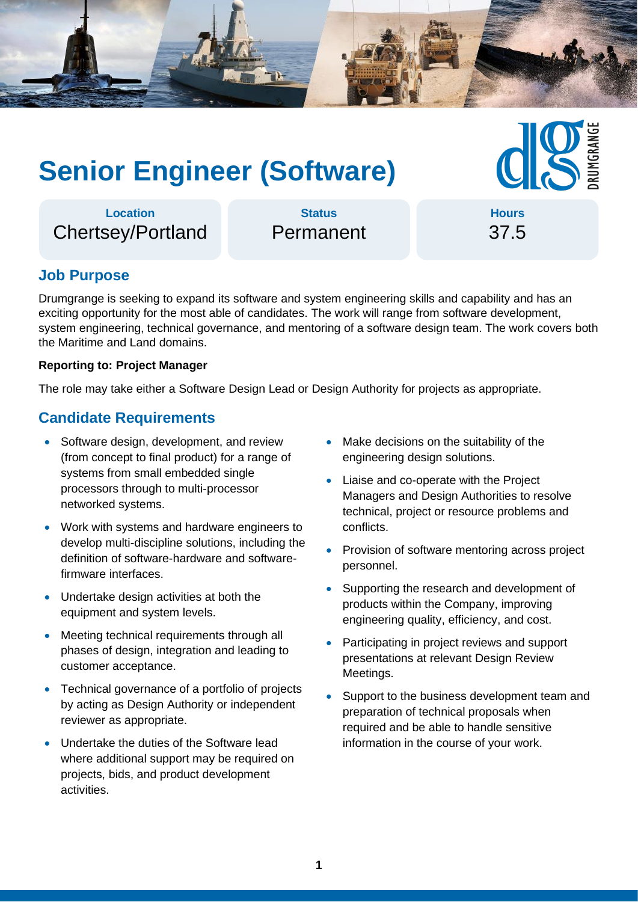

# **Senior Engineer (Software)**

**Location** Chertsey/Portland

**Status** Permanent

**Hours** 37.5

## **Job Purpose**

Drumgrange is seeking to expand its software and system engineering skills and capability and has an exciting opportunity for the most able of candidates. The work will range from software development, system engineering, technical governance, and mentoring of a software design team. The work covers both the Maritime and Land domains.

#### **Reporting to: Project Manager**

The role may take either a Software Design Lead or Design Authority for projects as appropriate.

#### **Candidate Requirements**

- Software design, development, and review (from concept to final product) for a range of systems from small embedded single processors through to multi-processor networked systems.
- Work with systems and hardware engineers to develop multi-discipline solutions, including the definition of software-hardware and softwarefirmware interfaces.
- Undertake design activities at both the equipment and system levels.
- Meeting technical requirements through all phases of design, integration and leading to customer acceptance.
- Technical governance of a portfolio of projects by acting as Design Authority or independent reviewer as appropriate.
- Undertake the duties of the Software lead where additional support may be required on projects, bids, and product development activities.
- Make decisions on the suitability of the engineering design solutions.
- Liaise and co-operate with the Project Managers and Design Authorities to resolve technical, project or resource problems and conflicts.
- Provision of software mentoring across project personnel.
- Supporting the research and development of products within the Company, improving engineering quality, efficiency, and cost.
- Participating in project reviews and support presentations at relevant Design Review Meetings.
- Support to the business development team and preparation of technical proposals when required and be able to handle sensitive information in the course of your work.